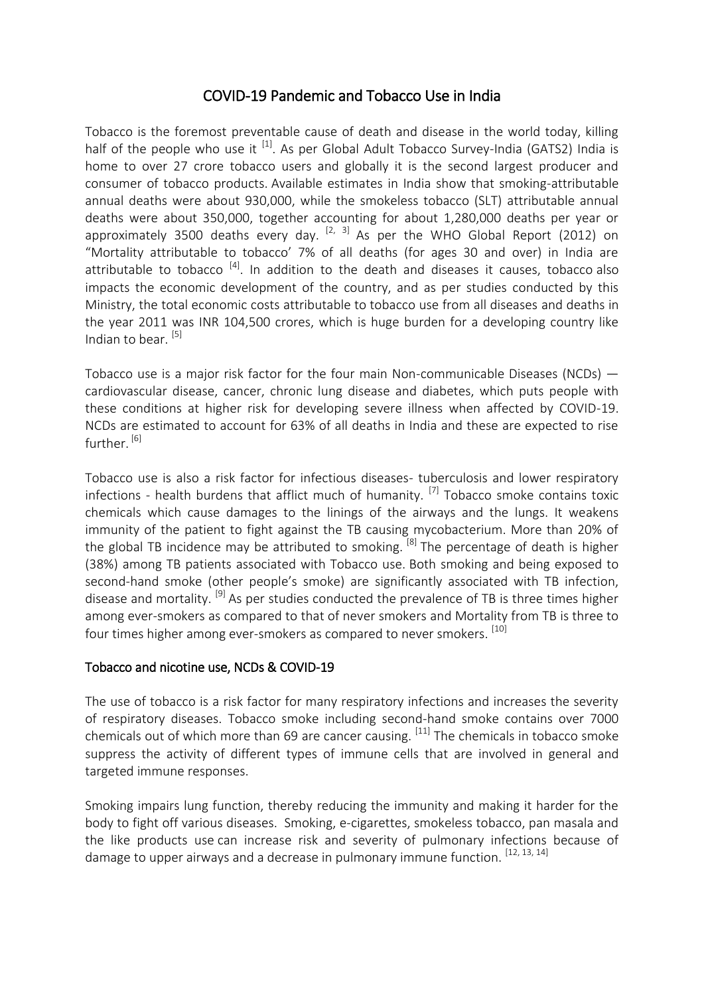## COVID-19 Pandemic and Tobacco Use in India

Tobacco is the foremost preventable cause of death and disease in the world today, killing half of the people who use it  $^{[1]}$ . As per Global Adult Tobacco Survey-India (GATS2) India is home to over 27 crore tobacco users and globally it is the second largest producer and consumer of tobacco products. Available estimates in India show that smoking-attributable annual deaths were about 930,000, while the smokeless tobacco (SLT) attributable annual deaths were about 350,000, together accounting for about 1,280,000 deaths per year or approximately 3500 deaths every day.  $[2, 3]$  As per the WHO Global Report (2012) on "Mortality attributable to tobacco' 7% of all deaths (for ages 30 and over) in India are attributable to tobacco  $^{[4]}$ . In addition to the death and diseases it causes, tobacco also impacts the economic development of the country, and as per studies conducted by this Ministry, the total economic costs attributable to tobacco use from all diseases and deaths in the year 2011 was INR 104,500 crores, which is huge burden for a developing country like Indian to bear.<sup>[5]</sup>

Tobacco use is a major risk factor for the four main Non-communicable Diseases (NCDs) cardiovascular disease, cancer, chronic lung disease and diabetes, which puts people with these conditions at higher risk for developing severe illness when affected by COVID-19. NCDs are estimated to account for 63% of all deaths in India and these are expected to rise further.<sup>[6]</sup>

Tobacco use is also a risk factor for infectious diseases- tuberculosis and lower respiratory infections - health burdens that afflict much of humanity.  $^{[7]}$  Tobacco smoke contains toxic chemicals which cause damages to the linings of the airways and the lungs. It weakens immunity of the patient to fight against the TB causing mycobacterium. More than 20% of the global TB incidence may be attributed to smoking.<sup>[8]</sup> The percentage of death is higher (38%) among TB patients associated with Tobacco use. Both smoking and being exposed to second-hand smoke (other people's smoke) are significantly associated with TB infection, disease and mortality.  $[9]$  As per studies conducted the prevalence of TB is three times higher among ever-smokers as compared to that of never smokers and Mortality from TB is three to four times higher among ever-smokers as compared to never smokers.<sup>[10]</sup>

## Tobacco and nicotine use, NCDs & COVID-19

The use of tobacco is a risk factor for many respiratory infections and increases the severity of respiratory diseases. Tobacco smoke including second-hand smoke contains over 7000 chemicals out of which more than 69 are cancer causing.  $^{[11]}$  The chemicals in tobacco smoke suppress the activity of different types of immune cells that are involved in general and targeted immune responses.

Smoking impairs lung function, thereby reducing the immunity and making it harder for the body to fight off various diseases. Smoking, e-cigarettes, smokeless tobacco, pan masala and the like products use can increase risk and severity of pulmonary infections because of damage to upper airways and a decrease in pulmonary immune function. [12, 13, 14]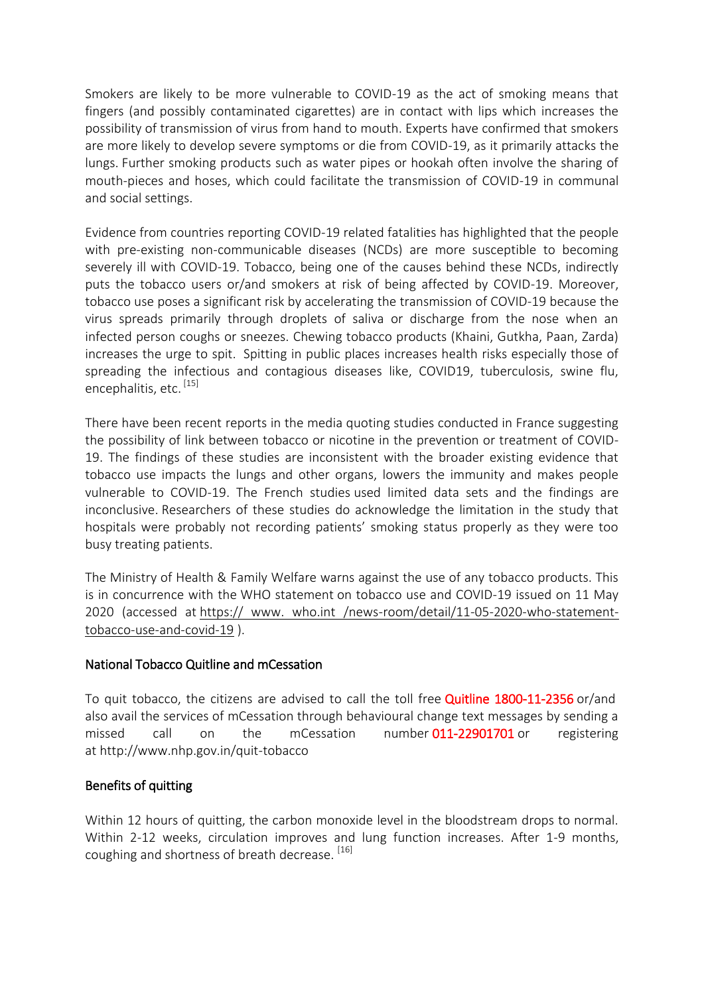Smokers are likely to be more vulnerable to COVID-19 as the act of smoking means that fingers (and possibly contaminated cigarettes) are in contact with lips which increases the possibility of transmission of virus from hand to mouth. Experts have confirmed that smokers are more likely to develop severe symptoms or die from COVID-19, as it primarily attacks the lungs. Further smoking products such as water pipes or hookah often involve the sharing of mouth-pieces and hoses, which could facilitate the transmission of COVID-19 in communal and social settings.

Evidence from countries reporting COVID-19 related fatalities has highlighted that the people with pre-existing non-communicable diseases (NCDs) are more susceptible to becoming severely ill with COVID-19. Tobacco, being one of the causes behind these NCDs, indirectly puts the tobacco users or/and smokers at risk of being affected by COVID-19. Moreover, tobacco use poses a significant risk by accelerating the transmission of COVID-19 because the virus spreads primarily through droplets of saliva or discharge from the nose when an infected person coughs or sneezes. Chewing tobacco products (Khaini, Gutkha, Paan, Zarda) increases the urge to spit. Spitting in public places increases health risks especially those of spreading the infectious and contagious diseases like, COVID19, tuberculosis, swine flu, encephalitis, etc. [15]

There have been recent reports in the media quoting studies conducted in France suggesting the possibility of link between tobacco or nicotine in the prevention or treatment of COVID-19. The findings of these studies are inconsistent with the broader existing evidence that tobacco use impacts the lungs and other organs, lowers the immunity and makes people vulnerable to COVID-19. The French studies used limited data sets and the findings are inconclusive. Researchers of these studies do acknowledge the limitation in the study that hospitals were probably not recording patients' smoking status properly as they were too busy treating patients.

The Ministry of Health & Family Welfare warns against the use of any tobacco products. This is in concurrence with the WHO statement on tobacco use and COVID-19 issued on 11 May 2020 (accessed at https:// www. who.int /news-room/detail/11-05-2020-who-statementtobacco-use-and-covid-19 ).

## National Tobacco Quitline and mCessation

To quit tobacco, the citizens are advised to call the toll free **Quitline 1800-11-2356** or/and also avail the services of mCessation through behavioural change text messages by sending a missed call on the mCessation number 011-22901701 or registering at http://www.nhp.gov.in/quit-tobacco

## Benefits of quitting

Within 12 hours of quitting, the carbon monoxide level in the bloodstream drops to normal. Within 2-12 weeks, circulation improves and lung function increases. After 1-9 months, coughing and shortness of breath decrease. [16]